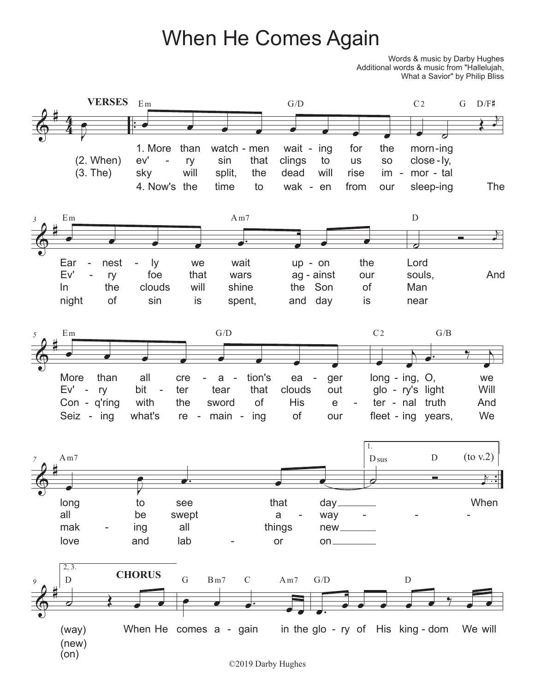## When He Comes Again

Words & music by Darby Hughes Additional words & music from "Hallelujah, What a Savior" by Philip Bliss